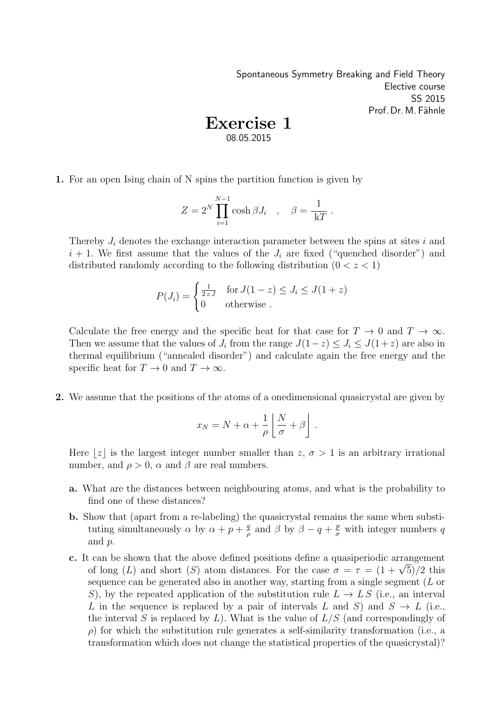Spontaneous Symmetry Breaking and Field Theory Elective course SS 2015 Prof. Dr. M. Fähnle

## Exercise 1 08.05.2015

1. For an open Ising chain of N spins the partition function is given by

$$
Z = 2^N \prod_{i=1}^{N-1} \cosh \beta J_i \quad , \quad \beta = \frac{1}{kT} .
$$

Thereby  $J_i$  denotes the exchange interaction parameter between the spins at sites i and  $i + 1$ . We first assume that the values of the  $J_i$  are fixed ("quenched disorder") and distributed randomly according to the following distribution  $(0 < z < 1)$ 

$$
P(J_i) = \begin{cases} \frac{1}{2zJ} & \text{for } J(1-z) \le J_i \le J(1+z) \\ 0 & \text{otherwise} \end{cases}
$$

Calculate the free energy and the specific heat for that case for  $T \to 0$  and  $T \to \infty$ . Then we assume that the values of  $J_i$  from the range  $J(1-z) \le J_i \le J(1+z)$  are also in thermal equilibrium ("annealed disorder") and calculate again the free energy and the specific heat for  $T \to 0$  and  $T \to \infty$ .

2. We assume that the positions of the atoms of a onedimensional quasicrystal are given by

$$
x_N = N + \alpha + \frac{1}{\rho} \left[ \frac{N}{\sigma} + \beta \right] .
$$

Here |z| is the largest integer number smaller than  $z, \sigma > 1$  is an arbitrary irrational number, and  $\rho > 0$ ,  $\alpha$  and  $\beta$  are real numbers.

- a. What are the distances between neighbouring atoms, and what is the probability to find one of these distances?
- b. Show that (apart from a re-labeling) the quasicrystal remains the same when substituting simultaneously  $\alpha$  by  $\alpha + p + \frac{q}{q}$  $\frac{q}{\rho}$  and  $\beta$  by  $\beta - q + \frac{p}{\sigma}$  with integer numbers q and p.
- c. It can be shown that the above defined positions define a quasiperiodic arrangement can be shown that the above defined positions define a quasiperiodic arrangement of long  $(L)$  and short  $(S)$  atom distances. For the case  $\sigma = \tau = (1 + \sqrt{5})/2$  this sequence can be generated also in another way, starting from a single segment (L or S), by the repeated application of the substitution rule  $L \to LS$  (i.e., an interval L in the sequence is replaced by a pair of intervals L and S) and  $S \to L$  (i.e., the interval S is replaced by  $L$ ). What is the value of  $L/S$  (and correspondingly of  $\rho$ ) for which the substitution rule generates a self-similarity transformation (i.e., a transformation which does not change the statistical properties of the quasicrystal)?